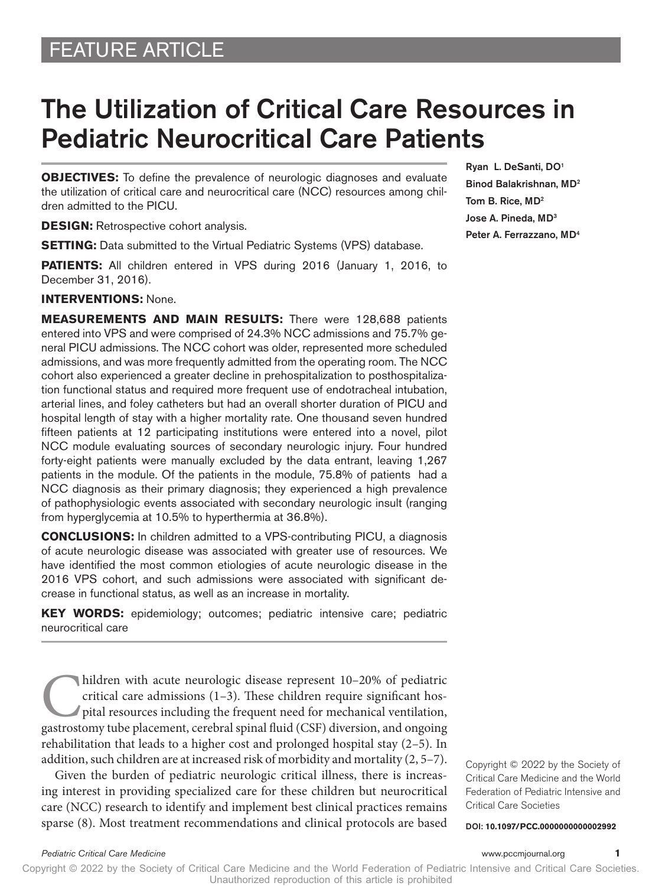## FEATURE ARTICLE

# The Utilization of Critical Care Resources in Pediatric Neurocritical Care Patients

**OBJECTIVES:** To define the prevalence of neurologic diagnoses and evaluate the utilization of critical care and neurocritical care (NCC) resources among children admitted to the PICU.

**DESIGN:** Retrospective cohort analysis.

**SETTING:** Data submitted to the Virtual Pediatric Systems (VPS) database.

**PATIENTS:** All children entered in VPS during 2016 (January 1, 2016, to December 31, 2016).

#### **INTERVENTIONS:** None.

**MEASUREMENTS AND MAIN RESULTS:** There were 128,688 patients entered into VPS and were comprised of 24.3% NCC admissions and 75.7% general PICU admissions. The NCC cohort was older, represented more scheduled admissions, and was more frequently admitted from the operating room. The NCC cohort also experienced a greater decline in prehospitalization to posthospitalization functional status and required more frequent use of endotracheal intubation, arterial lines, and foley catheters but had an overall shorter duration of PICU and hospital length of stay with a higher mortality rate. One thousand seven hundred fifteen patients at 12 participating institutions were entered into a novel, pilot NCC module evaluating sources of secondary neurologic injury. Four hundred forty-eight patients were manually excluded by the data entrant, leaving 1,267 patients in the module. Of the patients in the module, 75.8% of patients had a NCC diagnosis as their primary diagnosis; they experienced a high prevalence of pathophysiologic events associated with secondary neurologic insult (ranging from hyperglycemia at 10.5% to hyperthermia at 36.8%).

**CONCLUSIONS:** In children admitted to a VPS-contributing PICU, a diagnosis of acute neurologic disease was associated with greater use of resources. We have identified the most common etiologies of acute neurologic disease in the 2016 VPS cohort, and such admissions were associated with significant decrease in functional status, as well as an increase in mortality.

**KEY WORDS:** epidemiology; outcomes; pediatric intensive care; pediatric neurocritical care

hildren with acute neurologic disease represent  $10-20%$  of pediatric critical care admissions  $(1-3)$ . These children require significant hospital resources including the frequent need for mechanical ventilation, gastros critical care admissions (1–3). These children require significant hospital resources including the frequent need for mechanical ventilation, gastrostomy tube placement, cerebral spinal fluid (CSF) diversion, and ongoing rehabilitation that leads to a higher cost and prolonged hospital stay (2–5). In addition, such children are at increased risk of morbidity and mortality (2, 5–7).

Given the burden of pediatric neurologic critical illness, there is increasing interest in providing specialized care for these children but neurocritical care (NCC) research to identify and implement best clinical practices remains sparse (8). Most treatment recommendations and clinical protocols are based Ryan L. DeSanti, DO1 Binod Balakrishnan, MD2 Tom B. Rice, MD2 Jose A. Pineda, MD3 Peter A. Ferrazzano, MD4

Copyright © 2022 by the Society of Critical Care Medicine and the World Federation of Pediatric Intensive and Critical Care Societies

DOI: **10.1097/PCC.0000000000002992**

Copyright © 2022 by the Society of Critical Care Medicine and the World Federation of Pediatric Intensive and Critical Care Societies. Unauthorized reproduction of this article is prohibited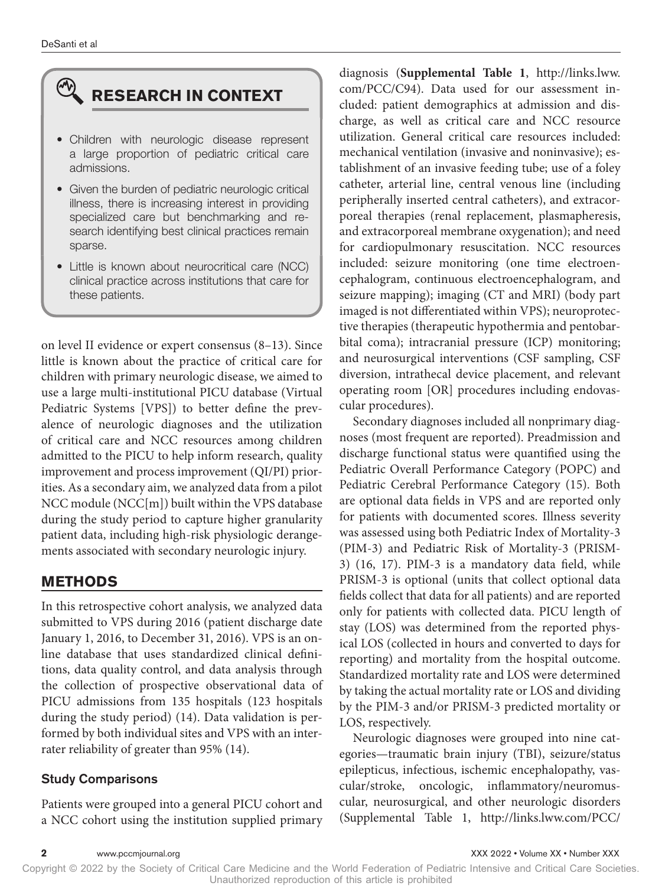# **RESEARCH IN CONTEXT**

- Children with neurologic disease represent a large proportion of pediatric critical care admissions.
- Given the burden of pediatric neurologic critical illness, there is increasing interest in providing specialized care but benchmarking and research identifying best clinical practices remain sparse.
- Little is known about neurocritical care (NCC) clinical practice across institutions that care for these patients.

on level II evidence or expert consensus (8–13). Since little is known about the practice of critical care for children with primary neurologic disease, we aimed to use a large multi-institutional PICU database (Virtual Pediatric Systems [VPS]) to better define the prevalence of neurologic diagnoses and the utilization of critical care and NCC resources among children admitted to the PICU to help inform research, quality improvement and process improvement (QI/PI) priorities. As a secondary aim, we analyzed data from a pilot NCC module (NCC[m]) built within the VPS database during the study period to capture higher granularity patient data, including high-risk physiologic derangements associated with secondary neurologic injury.

#### **METHODS**

In this retrospective cohort analysis, we analyzed data submitted to VPS during 2016 (patient discharge date January 1, 2016, to December 31, 2016). VPS is an online database that uses standardized clinical definitions, data quality control, and data analysis through the collection of prospective observational data of PICU admissions from 135 hospitals (123 hospitals during the study period) (14). Data validation is performed by both individual sites and VPS with an interrater reliability of greater than 95% (14).

#### Study Comparisons

Patients were grouped into a general PICU cohort and a NCC cohort using the institution supplied primary diagnosis (**Supplemental Table 1**, [http://links.lww.](http://links.lww.com/PCC/C94) [com/PCC/C94](http://links.lww.com/PCC/C94)). Data used for our assessment included: patient demographics at admission and discharge, as well as critical care and NCC resource utilization. General critical care resources included: mechanical ventilation (invasive and noninvasive); establishment of an invasive feeding tube; use of a foley catheter, arterial line, central venous line (including peripherally inserted central catheters), and extracorporeal therapies (renal replacement, plasmapheresis, and extracorporeal membrane oxygenation); and need for cardiopulmonary resuscitation. NCC resources included: seizure monitoring (one time electroencephalogram, continuous electroencephalogram, and seizure mapping); imaging (CT and MRI) (body part imaged is not differentiated within VPS); neuroprotective therapies (therapeutic hypothermia and pentobarbital coma); intracranial pressure (ICP) monitoring; and neurosurgical interventions (CSF sampling, CSF diversion, intrathecal device placement, and relevant operating room [OR] procedures including endovascular procedures).

Secondary diagnoses included all nonprimary diagnoses (most frequent are reported). Preadmission and discharge functional status were quantified using the Pediatric Overall Performance Category (POPC) and Pediatric Cerebral Performance Category (15). Both are optional data fields in VPS and are reported only for patients with documented scores. Illness severity was assessed using both Pediatric Index of Mortality-3 (PIM-3) and Pediatric Risk of Mortality-3 (PRISM-3) (16, 17). PIM-3 is a mandatory data field, while PRISM-3 is optional (units that collect optional data fields collect that data for all patients) and are reported only for patients with collected data. PICU length of stay (LOS) was determined from the reported physical LOS (collected in hours and converted to days for reporting) and mortality from the hospital outcome. Standardized mortality rate and LOS were determined by taking the actual mortality rate or LOS and dividing by the PIM-3 and/or PRISM-3 predicted mortality or LOS, respectively.

Neurologic diagnoses were grouped into nine categories—traumatic brain injury (TBI), seizure/status epilepticus, infectious, ischemic encephalopathy, vascular/stroke, oncologic, inflammatory/neuromuscular, neurosurgical, and other neurologic disorders (Supplemental Table 1, [http://links.lww.com/PCC/](http://links.lww.com/PCC/C94)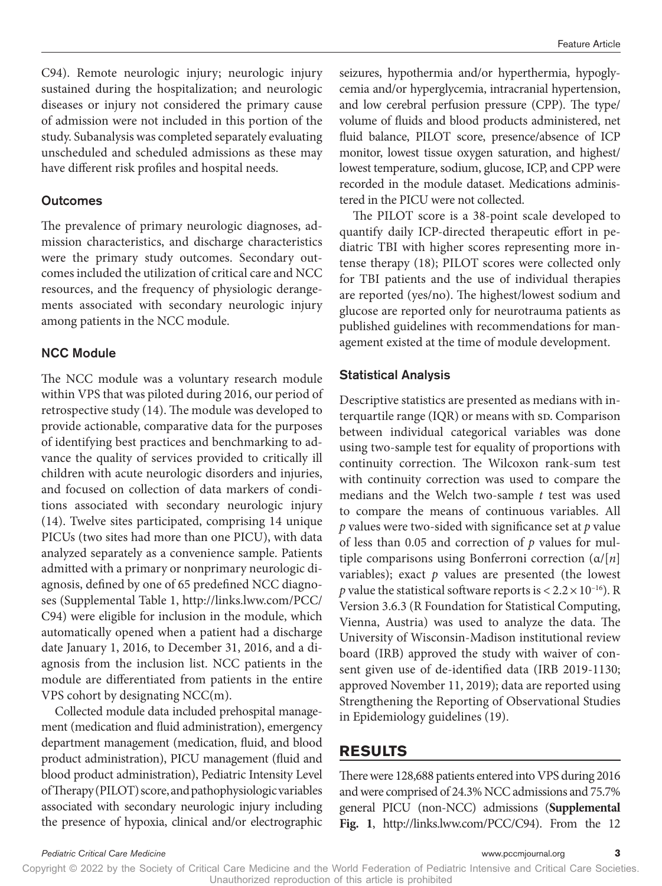[C94](http://links.lww.com/PCC/C94)). Remote neurologic injury; neurologic injury sustained during the hospitalization; and neurologic diseases or injury not considered the primary cause of admission were not included in this portion of the study. Subanalysis was completed separately evaluating unscheduled and scheduled admissions as these may have different risk profiles and hospital needs.

#### **Outcomes**

The prevalence of primary neurologic diagnoses, admission characteristics, and discharge characteristics were the primary study outcomes. Secondary outcomes included the utilization of critical care and NCC resources, and the frequency of physiologic derangements associated with secondary neurologic injury among patients in the NCC module.

#### NCC Module

The NCC module was a voluntary research module within VPS that was piloted during 2016, our period of retrospective study (14). The module was developed to provide actionable, comparative data for the purposes of identifying best practices and benchmarking to advance the quality of services provided to critically ill children with acute neurologic disorders and injuries, and focused on collection of data markers of conditions associated with secondary neurologic injury (14). Twelve sites participated, comprising 14 unique PICUs (two sites had more than one PICU), with data analyzed separately as a convenience sample. Patients admitted with a primary or nonprimary neurologic diagnosis, defined by one of 65 predefined NCC diagnoses (Supplemental Table 1, [http://links.lww.com/PCC/](http://links.lww.com/PCC/C94) [C94](http://links.lww.com/PCC/C94)) were eligible for inclusion in the module, which automatically opened when a patient had a discharge date January 1, 2016, to December 31, 2016, and a diagnosis from the inclusion list. NCC patients in the module are differentiated from patients in the entire VPS cohort by designating NCC(m).

Collected module data included prehospital management (medication and fluid administration), emergency department management (medication, fluid, and blood product administration), PICU management (fluid and blood product administration), Pediatric Intensity Level of Therapy (PILOT) score, and pathophysiologic variables associated with secondary neurologic injury including the presence of hypoxia, clinical and/or electrographic

seizures, hypothermia and/or hyperthermia, hypoglycemia and/or hyperglycemia, intracranial hypertension, and low cerebral perfusion pressure (CPP). The type/ volume of fluids and blood products administered, net fluid balance, PILOT score, presence/absence of ICP monitor, lowest tissue oxygen saturation, and highest/ lowest temperature, sodium, glucose, ICP, and CPP were recorded in the module dataset. Medications administered in the PICU were not collected.

The PILOT score is a 38-point scale developed to quantify daily ICP-directed therapeutic effort in pediatric TBI with higher scores representing more intense therapy (18); PILOT scores were collected only for TBI patients and the use of individual therapies are reported (yes/no). The highest/lowest sodium and glucose are reported only for neurotrauma patients as published guidelines with recommendations for management existed at the time of module development.

#### Statistical Analysis

Descriptive statistics are presented as medians with interquartile range  $(IQR)$  or means with sp. Comparison between individual categorical variables was done using two-sample test for equality of proportions with continuity correction. The Wilcoxon rank-sum test with continuity correction was used to compare the medians and the Welch two-sample *t* test was used to compare the means of continuous variables. All *p* values were two-sided with significance set at *p* value of less than 0.05 and correction of *p* values for multiple comparisons using Bonferroni correction (α/[*n*] variables); exact  $p$  values are presented (the lowest *p* value the statistical software reports is  $< 2.2 \times 10^{-16}$ ). R Version 3.6.3 (R Foundation for Statistical Computing, Vienna, Austria) was used to analyze the data. The University of Wisconsin-Madison institutional review board (IRB) approved the study with waiver of consent given use of de-identified data (IRB 2019-1130; approved November 11, 2019); data are reported using Strengthening the Reporting of Observational Studies in Epidemiology guidelines (19).

#### **RESULTS**

There were 128,688 patients entered into VPS during 2016 and were comprised of 24.3% NCC admissions and 75.7% general PICU (non-NCC) admissions (**Supplemental Fig. 1**, <http://links.lww.com/PCC/C94>). From the 12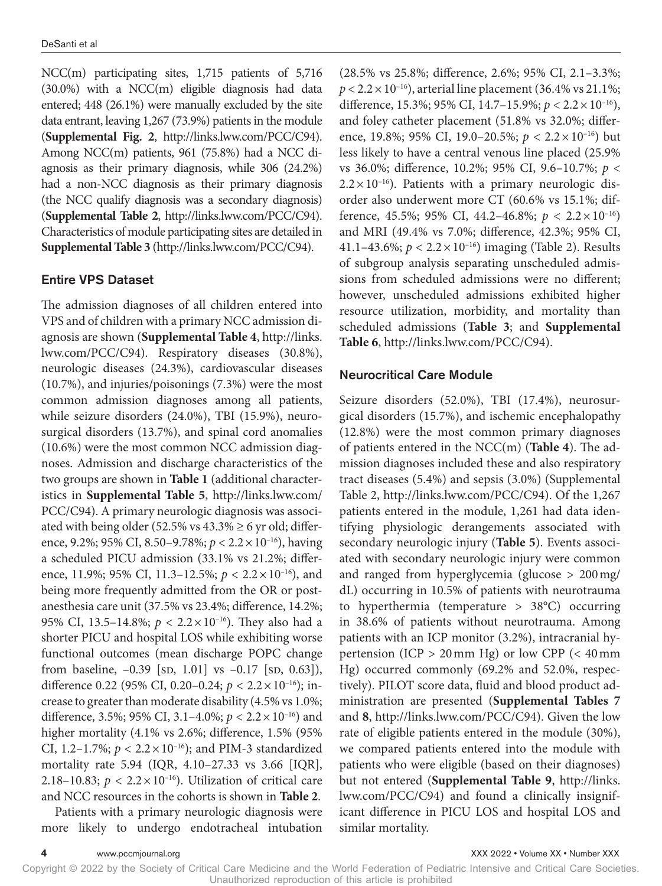NCC(m) participating sites, 1,715 patients of 5,716 (30.0%) with a NCC(m) eligible diagnosis had data entered; 448 (26.1%) were manually excluded by the site data entrant, leaving 1,267 (73.9%) patients in the module (**Supplemental Fig. 2**, [http://links.lww.com/PCC/C94\)](http://links.lww.com/PCC/C94). Among NCC(m) patients, 961 (75.8%) had a NCC diagnosis as their primary diagnosis, while 306 (24.2%) had a non-NCC diagnosis as their primary diagnosis (the NCC qualify diagnosis was a secondary diagnosis) (**Supplemental Table 2**, [http://links.lww.com/PCC/C94\)](http://links.lww.com/PCC/C94). Characteristics of module participating sites are detailed in **Supplemental Table 3** (<http://links.lww.com/PCC/C94>).

#### Entire VPS Dataset

The admission diagnoses of all children entered into VPS and of children with a primary NCC admission diagnosis are shown (**Supplemental Table 4**, [http://links.](http://links.lww.com/PCC/C94) [lww.com/PCC/C94](http://links.lww.com/PCC/C94)). Respiratory diseases (30.8%), neurologic diseases (24.3%), cardiovascular diseases (10.7%), and injuries/poisonings (7.3%) were the most common admission diagnoses among all patients, while seizure disorders (24.0%), TBI (15.9%), neurosurgical disorders (13.7%), and spinal cord anomalies (10.6%) were the most common NCC admission diagnoses. Admission and discharge characteristics of the two groups are shown in **Table 1** (additional characteristics in **Supplemental Table 5**, [http://links.lww.com/](http://links.lww.com/PCC/C94) [PCC/C94](http://links.lww.com/PCC/C94)). A primary neurologic diagnosis was associated with being older (52.5% vs  $43.3\% \geq 6$  yr old; difference, 9.2%; 95% CI, 8.50–9.78%; *p* < 2.2×10–16), having a scheduled PICU admission (33.1% vs 21.2%; difference, 11.9%; 95% CI, 11.3–12.5%; *p* < 2.2×10–16), and being more frequently admitted from the OR or postanesthesia care unit (37.5% vs 23.4%; difference, 14.2%; 95% CI, 13.5–14.8%;  $p < 2.2 \times 10^{-16}$ ). They also had a shorter PICU and hospital LOS while exhibiting worse functional outcomes (mean discharge POPC change from baseline,  $-0.39$  [sp, 1.01] vs  $-0.17$  [sp, 0.63]), difference 0.22 (95% CI, 0.20–0.24; *p* < 2.2×10–16); increase to greater than moderate disability (4.5% vs 1.0%; difference, 3.5%; 95% CI, 3.1–4.0%; *p* < 2.2×10–16) and higher mortality (4.1% vs 2.6%; difference, 1.5% (95% CI, 1.2–1.7%;  $p < 2.2 \times 10^{-16}$ ); and PIM-3 standardized mortality rate 5.94 (IQR, 4.10–27.33 vs 3.66 [IQR], 2.18–10.83;  $p < 2.2 \times 10^{-16}$ ). Utilization of critical care and NCC resources in the cohorts is shown in **Table 2**.

Patients with a primary neurologic diagnosis were more likely to undergo endotracheal intubation

(28.5% vs 25.8%; difference, 2.6%; 95% CI, 2.1–3.3%;  $p < 2.2 \times 10^{-16}$ ), arterial line placement (36.4% vs 21.1%; difference, 15.3%; 95% CI, 14.7–15.9%; *p* < 2.2×10–16), and foley catheter placement (51.8% vs 32.0%; difference, 19.8%; 95% CI, 19.0–20.5%; *p* < 2.2×10–16) but less likely to have a central venous line placed (25.9% vs 36.0%; difference, 10.2%; 95% CI, 9.6–10.7%; *p* <  $2.2 \times 10^{-16}$ ). Patients with a primary neurologic disorder also underwent more CT (60.6% vs 15.1%; difference, 45.5%; 95% CI, 44.2–46.8%; *p* < 2.2×10–16) and MRI (49.4% vs 7.0%; difference, 42.3%; 95% CI, 41.1–43.6%; *p* < 2.2×10–16) imaging (Table 2). Results of subgroup analysis separating unscheduled admissions from scheduled admissions were no different; however, unscheduled admissions exhibited higher resource utilization, morbidity, and mortality than scheduled admissions (**Table 3**; and **Supplemental Table 6**,<http://links.lww.com/PCC/C94>).

#### Neurocritical Care Module

Seizure disorders (52.0%), TBI (17.4%), neurosurgical disorders (15.7%), and ischemic encephalopathy (12.8%) were the most common primary diagnoses of patients entered in the NCC(m) (**Table 4**). The admission diagnoses included these and also respiratory tract diseases (5.4%) and sepsis (3.0%) (Supplemental Table 2, <http://links.lww.com/PCC/C94>). Of the 1,267 patients entered in the module, 1,261 had data identifying physiologic derangements associated with secondary neurologic injury (**Table 5**). Events associated with secondary neurologic injury were common and ranged from hyperglycemia (glucose > 200mg/ dL) occurring in 10.5% of patients with neurotrauma to hyperthermia (temperature > 38°C) occurring in 38.6% of patients without neurotrauma. Among patients with an ICP monitor (3.2%), intracranial hypertension (ICP  $> 20$  mm Hg) or low CPP ( $< 40$  mm Hg) occurred commonly (69.2% and 52.0%, respectively). PILOT score data, fluid and blood product administration are presented (**Supplemental Tables 7** and **8**, <http://links.lww.com/PCC/C94>). Given the low rate of eligible patients entered in the module (30%), we compared patients entered into the module with patients who were eligible (based on their diagnoses) but not entered (**Supplemental Table 9**, [http://links.](http://links.lww.com/PCC/C94) [lww.com/PCC/C94\)](http://links.lww.com/PCC/C94) and found a clinically insignificant difference in PICU LOS and hospital LOS and similar mortality.

**4** www.pccmjournal.org XXX 2022 • Volume XX • Number XXX

Copyright © 2022 by the Society of Critical Care Medicine and the World Federation of Pediatric Intensive and Critical Care Societies. Unauthorized reproduction of this article is prohibited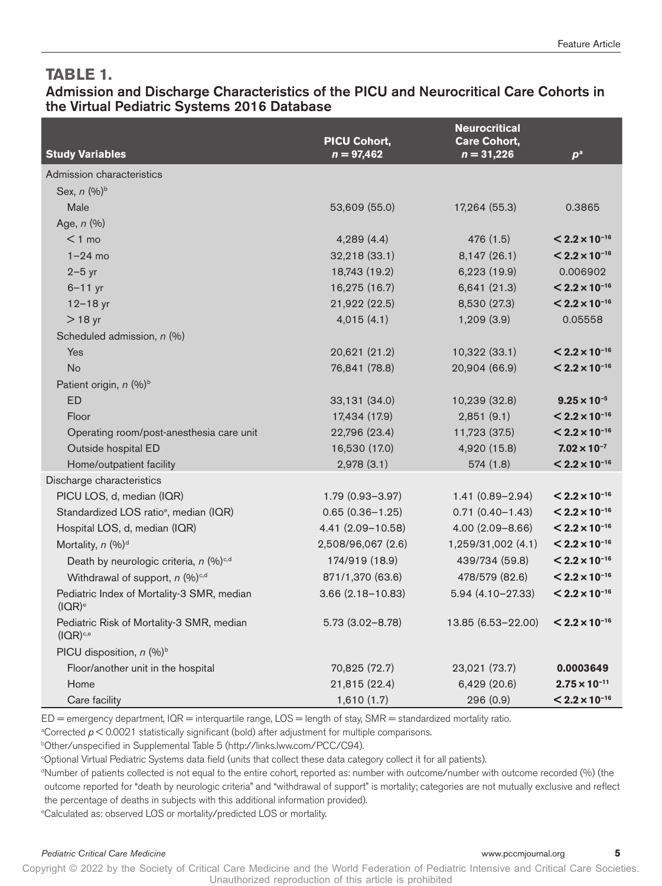#### **TABLE 1.**

#### Admission and Discharge Characteristics of the PICU and Neurocritical Care Cohorts in the Virtual Pediatric Systems 2016 Database

|                                                                  | <b>PICU Cohort,</b>  | <b>Neurocritical</b><br><b>Care Cohort,</b> |                                       |
|------------------------------------------------------------------|----------------------|---------------------------------------------|---------------------------------------|
| <b>Study Variables</b>                                           | $n = 97,462$         | $n = 31,226$                                | $p^a$                                 |
| Admission characteristics                                        |                      |                                             |                                       |
| Sex, n (%) <sup>b</sup>                                          |                      |                                             |                                       |
| Male                                                             | 53,609 (55.0)        | 17,264 (55.3)                               | 0.3865                                |
| Age, $n$ (%)                                                     |                      |                                             |                                       |
| $<$ 1 mo                                                         | 4,289(4.4)           | 476 (1.5)                                   | $< 2.2 \times 10^{-16}$               |
| $1-24$ mo                                                        | 32,218 (33.1)        | 8,147 (26.1)                                | $< 2.2 \times 10^{-16}$               |
| $2-5$ yr                                                         | 18,743 (19.2)        | 6,223 (19.9)                                | 0.006902                              |
| $6 - 11$ yr                                                      | 16,275 (16.7)        | 6,641 (21.3)                                | $< 2.2 \times 10^{-16}$               |
| $12 - 18$ yr                                                     | 21,922 (22.5)        | 8,530 (27.3)                                | $< 2.2 \times 10^{-16}$               |
| $>18$ yr                                                         | 4,015(4.1)           | 1,209(3.9)                                  | 0.05558                               |
| Scheduled admission, n (%)                                       |                      |                                             |                                       |
| Yes                                                              | 20,621 (21.2)        | 10,322 (33.1)                               | $< 2.2 \times 10^{-16}$               |
| No                                                               | 76,841 (78.8)        | 20,904 (66.9)                               | $< 2.2 \times 10^{-16}$               |
| Patient origin, n (%) <sup>b</sup>                               |                      |                                             |                                       |
| <b>ED</b>                                                        | 33,131 (34.0)        | 10,239 (32.8)                               | $9.25 \times 10^{-5}$                 |
| Floor                                                            | 17,434 (17.9)        | 2,851(9.1)                                  | $< 2.2 \times 10^{-16}$               |
| Operating room/post-anesthesia care unit                         | 22,796 (23.4)        | 11,723 (37.5)                               | $< 2.2 \times 10^{-16}$               |
| Outside hospital ED                                              | 16,530 (17.0)        | 4,920 (15.8)                                | $7.02 \times 10^{-7}$                 |
| Home/outpatient facility                                         | 2,978(3.1)           | 574(1.8)                                    | $< 2.2 \times 10^{-16}$               |
| Discharge characteristics                                        |                      |                                             |                                       |
| PICU LOS, d, median (IQR)                                        | 1.79 (0.93-3.97)     | $1.41(0.89 - 2.94)$                         | $< 2.2 \times 10^{-16}$               |
| Standardized LOS ratio <sup>e</sup> , median (IQR)               | $0.65(0.36 - 1.25)$  | $0.71(0.40 - 1.43)$                         | $< 2.2 \times 10^{-16}$               |
| Hospital LOS, d, median (IQR)                                    | 4.41 (2.09-10.58)    | $4.00(2.09 - 8.66)$                         | $<$ 2.2 $\times$ 10 <sup>-16</sup>    |
| Mortality, n (%) <sup>d</sup>                                    | 2,508/96,067 (2.6)   | 1,259/31,002 (4.1)                          | $< 2.2 \times 10^{-16}$               |
| Death by neurologic criteria, n (%) <sup>c,d</sup>               | 174/919 (18.9)       | 439/734 (59.8)                              | $\leq$ 2.2 $\times$ 10 <sup>-16</sup> |
| Withdrawal of support, $n$ (%) <sup>c,d</sup>                    | 871/1,370 (63.6)     | 478/579 (82.6)                              | $\leq$ 2.2 $\times$ 10 <sup>-16</sup> |
| Pediatric Index of Mortality-3 SMR, median<br>(IOR) <sup>e</sup> | $3.66(2.18 - 10.83)$ | $5.94(4.10 - 27.33)$                        | $< 2.2 \times 10^{-16}$               |
| Pediatric Risk of Mortality-3 SMR, median<br>$(IOR)^{c,e}$       | $5.73(3.02 - 8.78)$  | 13.85 (6.53-22.00)                          | $< 2.2 \times 10^{-16}$               |
| PICU disposition, $n$ (%) <sup>b</sup>                           |                      |                                             |                                       |
| Floor/another unit in the hospital                               | 70,825 (72.7)        | 23,021 (73.7)                               | 0.0003649                             |
| Home                                                             | 21,815 (22.4)        | 6,429 (20.6)                                | $2.75 \times 10^{-11}$                |
| Care facility                                                    | 1,610(1.7)           | 296 (0.9)                                   | $< 2.2 \times 10^{-16}$               |

ED = emergency department, IQR = interquartile range, LOS = length of stay, SMR = standardized mortality ratio.

a Corrected *p* < 0.0021 statistically significant (bold) after adjustment for multiple comparisons.

b Other/unspecified in Supplemental Table 5 ([http://links.lww.com/PCC/C94\)](http://links.lww.com/PCC/C94).

c Optional Virtual Pediatric Systems data field (units that collect these data category collect it for all patients).

d Number of patients collected is not equal to the entire cohort, reported as: number with outcome/number with outcome recorded (%) (the outcome reported for "death by neurologic criteria" and "withdrawal of support" is mortality; categories are not mutually exclusive and reflect the percentage of deaths in subjects with this additional information provided).

e Calculated as: observed LOS or mortality/predicted LOS or mortality.

#### *Pediatric Critical Care Medicine* www.pccmjournal.org **5**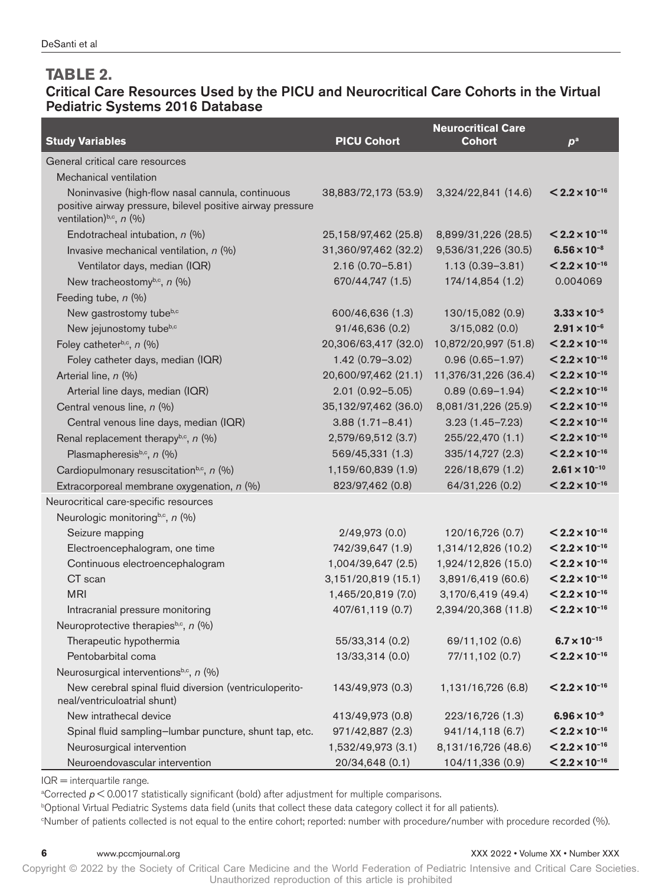#### **TABLE 2.**

#### Critical Care Resources Used by the PICU and Neurocritical Care Cohorts in the Virtual Pediatric Systems 2016 Database

|                                                                                        |                      | <b>Neurocritical Care</b> |                         |
|----------------------------------------------------------------------------------------|----------------------|---------------------------|-------------------------|
| <b>Study Variables</b>                                                                 | <b>PICU Cohort</b>   | <b>Cohort</b>             | $p^a$                   |
| General critical care resources                                                        |                      |                           |                         |
| Mechanical ventilation                                                                 |                      |                           |                         |
| Noninvasive (high-flow nasal cannula, continuous                                       | 38,883/72,173 (53.9) | 3,324/22,841 (14.6)       | $< 2.2 \times 10^{-16}$ |
| positive airway pressure, bilevel positive airway pressure                             |                      |                           |                         |
| ventilation) <sup>b,c</sup> , $n$ (%)                                                  |                      |                           |                         |
| Endotracheal intubation, n (%)                                                         | 25,158/97,462 (25.8) | 8,899/31,226 (28.5)       | $< 2.2 \times 10^{-16}$ |
| Invasive mechanical ventilation, $n$ (%)                                               | 31,360/97,462 (32.2) | 9,536/31,226 (30.5)       | $6.56 \times 10^{-8}$   |
| Ventilator days, median (IQR)                                                          | $2.16(0.70 - 5.81)$  | $1.13(0.39 - 3.81)$       | $< 2.2 \times 10^{-16}$ |
| New tracheostomyb,c, n (%)                                                             | 670/44,747 (1.5)     | 174/14,854 (1.2)          | 0.004069                |
| Feeding tube, n (%)                                                                    |                      |                           |                         |
| New gastrostomy tubeb,c                                                                | 600/46,636 (1.3)     | 130/15,082 (0.9)          | $3.33 \times 10^{-5}$   |
| New jejunostomy tubeb,c                                                                | 91/46,636 (0.2)      | 3/15,082(0.0)             | $2.91 \times 10^{-6}$   |
| Foley catheterb,c, $n$ (%)                                                             | 20,306/63,417 (32.0) | 10,872/20,997 (51.8)      | $< 2.2 \times 10^{-16}$ |
| Foley catheter days, median (IQR)                                                      | 1.42 (0.79-3.02)     | $0.96(0.65 - 1.97)$       | $< 2.2 \times 10^{-16}$ |
| Arterial line, n (%)                                                                   | 20,600/97,462 (21.1) | 11,376/31,226 (36.4)      | $< 2.2 \times 10^{-16}$ |
| Arterial line days, median (IQR)                                                       | $2.01(0.92 - 5.05)$  | $0.89(0.69 - 1.94)$       | $< 2.2 \times 10^{-16}$ |
| Central venous line, n (%)                                                             | 35,132/97,462 (36.0) | 8,081/31,226 (25.9)       | $< 2.2 \times 10^{-16}$ |
| Central venous line days, median (IQR)                                                 | $3.88(1.71 - 8.41)$  | $3.23(1.45 - 7.23)$       | $< 2.2 \times 10^{-16}$ |
| Renal replacement therapy <sup>b,c</sup> , $n$ (%)                                     | 2,579/69,512 (3.7)   | 255/22,470 (1.1)          | $< 2.2 \times 10^{-16}$ |
| Plasmapheresisb,c, n (%)                                                               | 569/45,331 (1.3)     | 335/14,727 (2.3)          | $< 2.2 \times 10^{-16}$ |
| Cardiopulmonary resuscitation <sup>b,c</sup> , n (%)                                   | 1,159/60,839 (1.9)   | 226/18,679 (1.2)          | $2.61 \times 10^{-10}$  |
| Extracorporeal membrane oxygenation, n (%)                                             | 823/97,462 (0.8)     | 64/31,226 (0.2)           | $< 2.2 \times 10^{-16}$ |
| Neurocritical care-specific resources                                                  |                      |                           |                         |
| Neurologic monitoring <sup>b,c</sup> , n (%)                                           |                      |                           |                         |
| Seizure mapping                                                                        | 2/49,973(0.0)        | 120/16,726 (0.7)          | $< 2.2 \times 10^{-16}$ |
| Electroencephalogram, one time                                                         | 742/39,647 (1.9)     | 1,314/12,826 (10.2)       | $< 2.2 \times 10^{-16}$ |
| Continuous electroencephalogram                                                        | 1,004/39,647 (2.5)   | 1,924/12,826 (15.0)       | $< 2.2 \times 10^{-16}$ |
| CT scan                                                                                | 3,151/20,819 (15.1)  | 3,891/6,419 (60.6)        | $< 2.2 \times 10^{-16}$ |
| <b>MRI</b>                                                                             | 1,465/20,819 (7.0)   | 3,170/6,419 (49.4)        | $< 2.2 \times 10^{-16}$ |
| Intracranial pressure monitoring                                                       | 407/61,119 (0.7)     | 2,394/20,368 (11.8)       | $< 2.2 \times 10^{-16}$ |
| Neuroprotective therapiesb,c, n (%)                                                    |                      |                           |                         |
| Therapeutic hypothermia                                                                | 55/33,314 (0.2)      | 69/11,102 (0.6)           | $6.7 \times 10^{-15}$   |
| Pentobarbital coma                                                                     | 13/33,314 (0.0)      | 77/11,102 (0.7)           | $< 2.2 \times 10^{-16}$ |
| Neurosurgical interventions <sup>b,c</sup> , n (%)                                     |                      |                           |                         |
| New cerebral spinal fluid diversion (ventriculoperito-<br>neal/ventriculoatrial shunt) | 143/49,973 (0.3)     | 1,131/16,726 (6.8)        | $< 2.2 \times 10^{-16}$ |
| New intrathecal device                                                                 | 413/49,973 (0.8)     | 223/16,726 (1.3)          | $6.96 \times 10^{-9}$   |
| Spinal fluid sampling-lumbar puncture, shunt tap, etc.                                 | 971/42,887 (2.3)     | 941/14,118 (6.7)          | $< 2.2 \times 10^{-16}$ |
| Neurosurgical intervention                                                             | 1,532/49,973 (3.1)   | 8,131/16,726 (48.6)       | $< 2.2 \times 10^{-16}$ |
| Neuroendovascular intervention                                                         | 20/34,648 (0.1)      | 104/11,336 (0.9)          | $< 2.2 \times 10^{-16}$ |

IQR = interquartile range.

a Corrected *p* < 0.0017 statistically significant (bold) after adjustment for multiple comparisons.

b Optional Virtual Pediatric Systems data field (units that collect these data category collect it for all patients).

c Number of patients collected is not equal to the entire cohort; reported: number with procedure/number with procedure recorded (%).

#### **6** www.pccmjournal.org **XXX 100 mm** www.pccmjournal.org **XXX** 2022 • Volume XX • Number XXX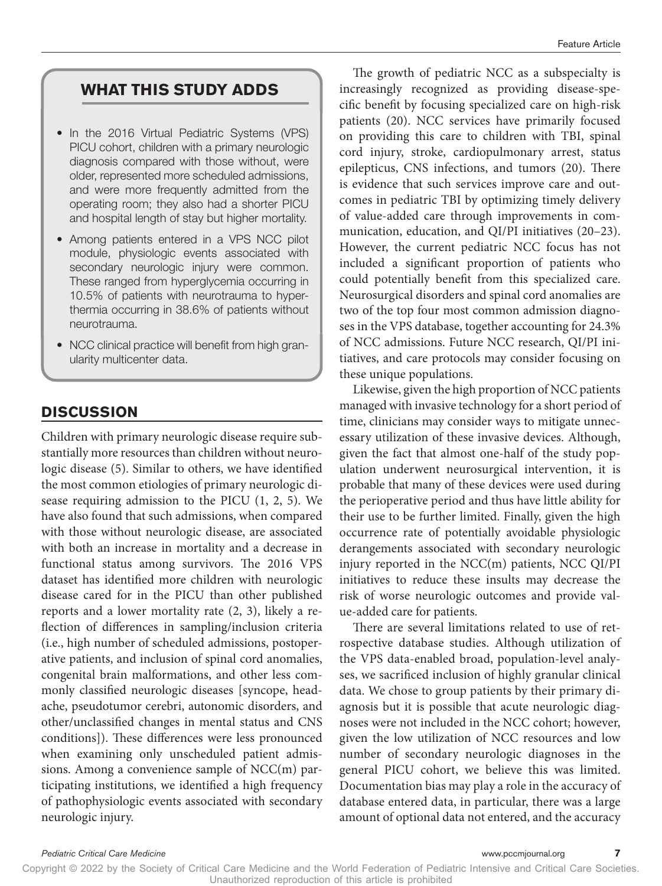#### **WHAT THIS STUDY ADDS**

- In the 2016 Virtual Pediatric Systems (VPS) PICU cohort, children with a primary neurologic diagnosis compared with those without, were older, represented more scheduled admissions, and were more frequently admitted from the operating room; they also had a shorter PICU and hospital length of stay but higher mortality.
- Among patients entered in a VPS NCC pilot module, physiologic events associated with secondary neurologic injury were common. These ranged from hyperglycemia occurring in 10.5% of patients with neurotrauma to hyperthermia occurring in 38.6% of patients without neurotrauma.
- NCC clinical practice will benefit from high granularity multicenter data.

#### **DISCUSSION**

Children with primary neurologic disease require substantially more resources than children without neurologic disease (5). Similar to others, we have identified the most common etiologies of primary neurologic disease requiring admission to the PICU (1, 2, 5). We have also found that such admissions, when compared with those without neurologic disease, are associated with both an increase in mortality and a decrease in functional status among survivors. The 2016 VPS dataset has identified more children with neurologic disease cared for in the PICU than other published reports and a lower mortality rate (2, 3), likely a reflection of differences in sampling/inclusion criteria (i.e., high number of scheduled admissions, postoperative patients, and inclusion of spinal cord anomalies, congenital brain malformations, and other less commonly classified neurologic diseases [syncope, headache, pseudotumor cerebri, autonomic disorders, and other/unclassified changes in mental status and CNS conditions]). These differences were less pronounced when examining only unscheduled patient admissions. Among a convenience sample of NCC(m) participating institutions, we identified a high frequency of pathophysiologic events associated with secondary neurologic injury.

The growth of pediatric NCC as a subspecialty is increasingly recognized as providing disease-specific benefit by focusing specialized care on high-risk patients (20). NCC services have primarily focused on providing this care to children with TBI, spinal cord injury, stroke, cardiopulmonary arrest, status epilepticus, CNS infections, and tumors (20). There is evidence that such services improve care and outcomes in pediatric TBI by optimizing timely delivery of value-added care through improvements in communication, education, and QI/PI initiatives (20–23). However, the current pediatric NCC focus has not included a significant proportion of patients who could potentially benefit from this specialized care. Neurosurgical disorders and spinal cord anomalies are two of the top four most common admission diagnoses in the VPS database, together accounting for 24.3% of NCC admissions. Future NCC research, QI/PI initiatives, and care protocols may consider focusing on these unique populations.

Likewise, given the high proportion of NCC patients managed with invasive technology for a short period of time, clinicians may consider ways to mitigate unnecessary utilization of these invasive devices. Although, given the fact that almost one-half of the study population underwent neurosurgical intervention, it is probable that many of these devices were used during the perioperative period and thus have little ability for their use to be further limited. Finally, given the high occurrence rate of potentially avoidable physiologic derangements associated with secondary neurologic injury reported in the NCC(m) patients, NCC QI/PI initiatives to reduce these insults may decrease the risk of worse neurologic outcomes and provide value-added care for patients.

There are several limitations related to use of retrospective database studies. Although utilization of the VPS data-enabled broad, population-level analyses, we sacrificed inclusion of highly granular clinical data. We chose to group patients by their primary diagnosis but it is possible that acute neurologic diagnoses were not included in the NCC cohort; however, given the low utilization of NCC resources and low number of secondary neurologic diagnoses in the general PICU cohort, we believe this was limited. Documentation bias may play a role in the accuracy of database entered data, in particular, there was a large amount of optional data not entered, and the accuracy

*Pediatric Critical Care Medicine* www.pccmjournal.org **7**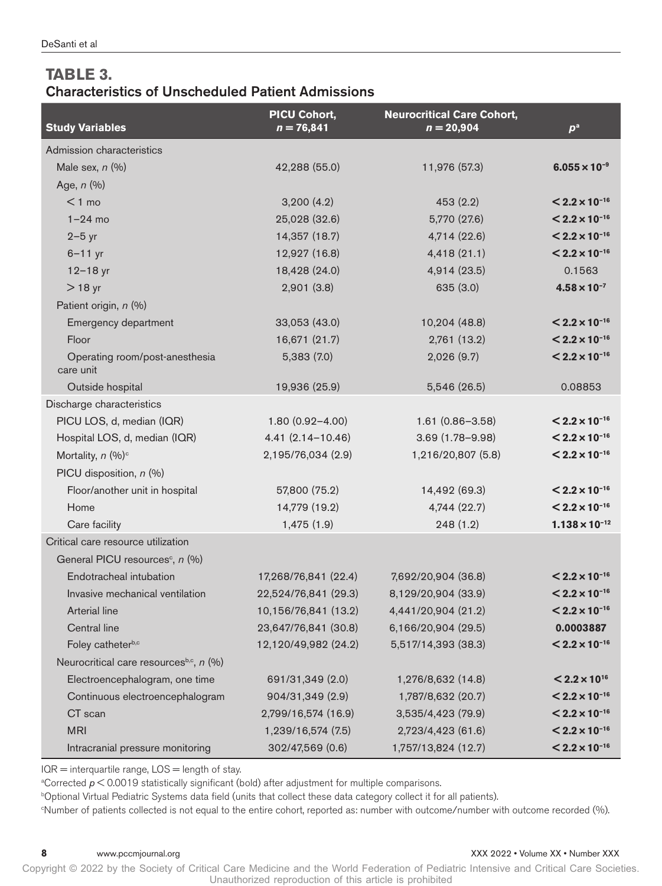### **TABLE 3.**  Characteristics of Unscheduled Patient Admissions

| <b>Study Variables</b>                      | PICU Cohort,<br>$n = 76,841$ | <b>Neurocritical Care Cohort,</b><br>$n = 20,904$ | p <sup>a</sup>          |
|---------------------------------------------|------------------------------|---------------------------------------------------|-------------------------|
| Admission characteristics                   |                              |                                                   |                         |
| Male sex, $n$ $(\%)$                        | 42,288 (55.0)                | 11,976 (57.3)                                     | $6.055 \times 10^{-9}$  |
| Age, $n$ $(\%)$                             |                              |                                                   |                         |
| $<$ 1 mo                                    | 3,200(4.2)                   | 453(2.2)                                          | $< 2.2 \times 10^{-16}$ |
| $1-24$ mo                                   | 25,028 (32.6)                | 5,770 (27.6)                                      | $< 2.2 \times 10^{-16}$ |
| $2-5$ yr                                    | 14,357 (18.7)                | 4,714 (22.6)                                      | $< 2.2 \times 10^{-16}$ |
| $6 - 11$ yr                                 | 12,927 (16.8)                | 4,418(21.1)                                       | $< 2.2 \times 10^{-16}$ |
| $12 - 18$ yr                                | 18,428 (24.0)                | 4,914 (23.5)                                      | 0.1563                  |
| $>18$ yr                                    | 2,901(3.8)                   | 635 (3.0)                                         | $4.58 \times 10^{-7}$   |
| Patient origin, n (%)                       |                              |                                                   |                         |
| Emergency department                        | 33,053 (43.0)                | 10,204 (48.8)                                     | $< 2.2 \times 10^{-16}$ |
| Floor                                       | 16,671 (21.7)                | 2,761 (13.2)                                      | $< 2.2 \times 10^{-16}$ |
| Operating room/post-anesthesia<br>care unit | 5,383(7.0)                   | 2,026 (9.7)                                       | $< 2.2 \times 10^{-16}$ |
| Outside hospital                            | 19,936 (25.9)                | 5,546 (26.5)                                      | 0.08853                 |
| Discharge characteristics                   |                              |                                                   |                         |
| PICU LOS, d, median (IQR)                   | $1.80(0.92 - 4.00)$          | $1.61(0.86 - 3.58)$                               | $< 2.2 \times 10^{-16}$ |
| Hospital LOS, d, median (IQR)               | $4.41(2.14 - 10.46)$         | $3.69(1.78 - 9.98)$                               | $< 2.2 \times 10^{-16}$ |
| Mortality, $n$ (%) <sup>c</sup>             | 2,195/76,034 (2.9)           | 1,216/20,807 (5.8)                                | $< 2.2 \times 10^{-16}$ |
| PICU disposition, n (%)                     |                              |                                                   |                         |
| Floor/another unit in hospital              | 57,800 (75.2)                | 14,492 (69.3)                                     | $< 2.2 \times 10^{-16}$ |
| Home                                        | 14,779 (19.2)                | 4,744 (22.7)                                      | $< 2.2 \times 10^{-16}$ |
| Care facility                               | 1,475 (1.9)                  | 248(1.2)                                          | $1.138 \times 10^{-12}$ |
| Critical care resource utilization          |                              |                                                   |                         |
| General PICU resources <sup>c</sup> , n (%) |                              |                                                   |                         |
| Endotracheal intubation                     | 17,268/76,841 (22.4)         | 7,692/20,904 (36.8)                               | $< 2.2 \times 10^{-16}$ |
| Invasive mechanical ventilation             | 22,524/76,841 (29.3)         | 8,129/20,904 (33.9)                               | $< 2.2 \times 10^{-16}$ |
| Arterial line                               | 10,156/76,841 (13.2)         | 4,441/20,904 (21.2)                               | $< 2.2 \times 10^{-16}$ |
| Central line                                | 23,647/76,841 (30.8)         | 6,166/20,904 (29.5)                               | 0.0003887               |
| Foley catheterb,c                           | 12,120/49,982 (24.2)         | 5,517/14,393 (38.3)                               | $< 2.2 \times 10^{-16}$ |
| Neurocritical care resourcesb,c, n (%)      |                              |                                                   |                         |
| Electroencephalogram, one time              | 691/31,349 (2.0)             | 1,276/8,632 (14.8)                                | $< 2.2 \times 10^{16}$  |
| Continuous electroencephalogram             | 904/31,349 (2.9)             | 1,787/8,632 (20.7)                                | $< 2.2 \times 10^{-16}$ |
| CT scan                                     | 2,799/16,574 (16.9)          | 3,535/4,423 (79.9)                                | $< 2.2 \times 10^{-16}$ |
| <b>MRI</b>                                  | 1,239/16,574 (7.5)           | 2,723/4,423 (61.6)                                | $< 2.2 \times 10^{-16}$ |
| Intracranial pressure monitoring            | 302/47,569 (0.6)             | 1,757/13,824 (12.7)                               | $< 2.2 \times 10^{-16}$ |

 $IQR =$  interquartile range,  $LOS =$  length of stay.

a Corrected *p* < 0.0019 statistically significant (bold) after adjustment for multiple comparisons.

b Optional Virtual Pediatric Systems data field (units that collect these data category collect it for all patients).

c Number of patients collected is not equal to the entire cohort, reported as: number with outcome/number with outcome recorded (%).

#### **8** www.pccmjournal.org **XXX** 2022 • Volume XX • Number XXX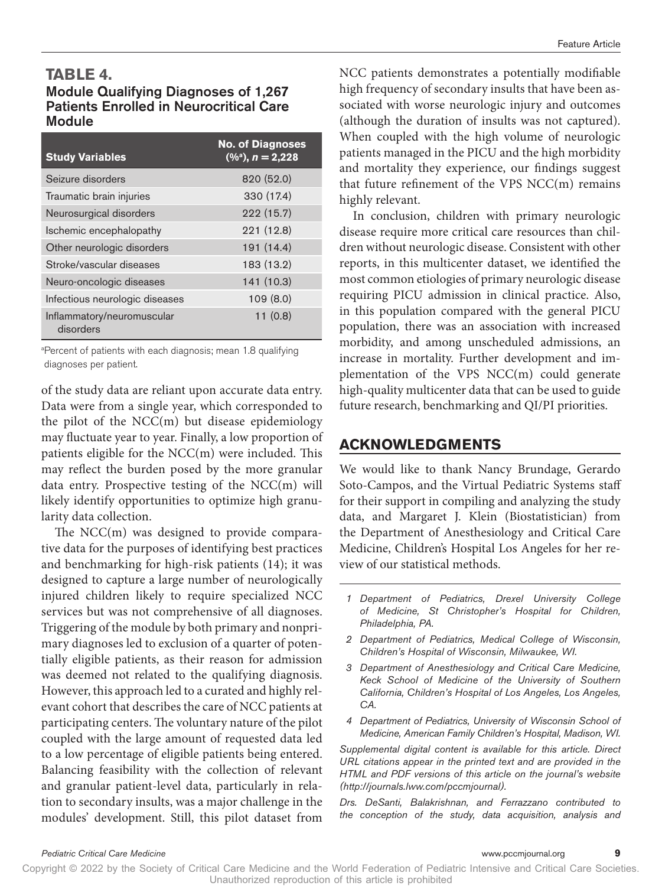#### **TABLE 4.**

#### Module Qualifying Diagnoses of 1,267 Patients Enrolled in Neurocritical Care Module

| <b>Study Variables</b>                  | <b>No. of Diagnoses</b><br>$(\frac{9}{6})$ , n = 2,228 |
|-----------------------------------------|--------------------------------------------------------|
| Seizure disorders                       | 820 (52.0)                                             |
| Traumatic brain injuries                | 330 (17.4)                                             |
| Neurosurgical disorders                 | 222 (15.7)                                             |
| Ischemic encephalopathy                 | 221(12.8)                                              |
| Other neurologic disorders              | 191 (14.4)                                             |
| Stroke/vascular diseases                | 183 (13.2)                                             |
| Neuro-oncologic diseases                | 141 (10.3)                                             |
| Infectious neurologic diseases          | 109(8.0)                                               |
| Inflammatory/neuromuscular<br>disorders | 11(0.8)                                                |

<sup>a</sup>Percent of patients with each diagnosis; mean 1.8 qualifying diagnoses per patient.

of the study data are reliant upon accurate data entry. Data were from a single year, which corresponded to the pilot of the NCC(m) but disease epidemiology may fluctuate year to year. Finally, a low proportion of patients eligible for the NCC(m) were included. This may reflect the burden posed by the more granular data entry. Prospective testing of the NCC(m) will likely identify opportunities to optimize high granularity data collection.

The NCC(m) was designed to provide comparative data for the purposes of identifying best practices and benchmarking for high-risk patients (14); it was designed to capture a large number of neurologically injured children likely to require specialized NCC services but was not comprehensive of all diagnoses. Triggering of the module by both primary and nonprimary diagnoses led to exclusion of a quarter of potentially eligible patients, as their reason for admission was deemed not related to the qualifying diagnosis. However, this approach led to a curated and highly relevant cohort that describes the care of NCC patients at participating centers. The voluntary nature of the pilot coupled with the large amount of requested data led to a low percentage of eligible patients being entered. Balancing feasibility with the collection of relevant and granular patient-level data, particularly in relation to secondary insults, was a major challenge in the modules' development. Still, this pilot dataset from

NCC patients demonstrates a potentially modifiable high frequency of secondary insults that have been associated with worse neurologic injury and outcomes (although the duration of insults was not captured). When coupled with the high volume of neurologic patients managed in the PICU and the high morbidity and mortality they experience, our findings suggest that future refinement of the VPS NCC(m) remains highly relevant.

In conclusion, children with primary neurologic disease require more critical care resources than children without neurologic disease. Consistent with other reports, in this multicenter dataset, we identified the most common etiologies of primary neurologic disease requiring PICU admission in clinical practice. Also, in this population compared with the general PICU population, there was an association with increased morbidity, and among unscheduled admissions, an increase in mortality. Further development and implementation of the VPS NCC(m) could generate high-quality multicenter data that can be used to guide future research, benchmarking and QI/PI priorities.

#### **ACKNOWLEDGMENTS**

We would like to thank Nancy Brundage, Gerardo Soto-Campos, and the Virtual Pediatric Systems staff for their support in compiling and analyzing the study data, and Margaret J. Klein (Biostatistician) from the Department of Anesthesiology and Critical Care Medicine, Children's Hospital Los Angeles for her review of our statistical methods.

- *1 Department of Pediatrics, Drexel University College of Medicine, St Christopher's Hospital for Children, Philadelphia, PA.*
- *2 Department of Pediatrics, Medical College of Wisconsin, Children's Hospital of Wisconsin, Milwaukee, WI.*
- *3 Department of Anesthesiology and Critical Care Medicine, Keck School of Medicine of the University of Southern California, Children's Hospital of Los Angeles, Los Angeles, CA.*
- *4 Department of Pediatrics, University of Wisconsin School of Medicine, American Family Children's Hospital, Madison, WI.*

*Supplemental digital content is available for this article. Direct URL citations appear in the printed text and are provided in the HTML and PDF versions of this article on the journal's website [\(http://journals.lww.com/pccmjournal](http://journals.lww.com/pccmjournal)).*

*Drs. DeSanti, Balakrishnan, and Ferrazzano contributed to the conception of the study, data acquisition, analysis and*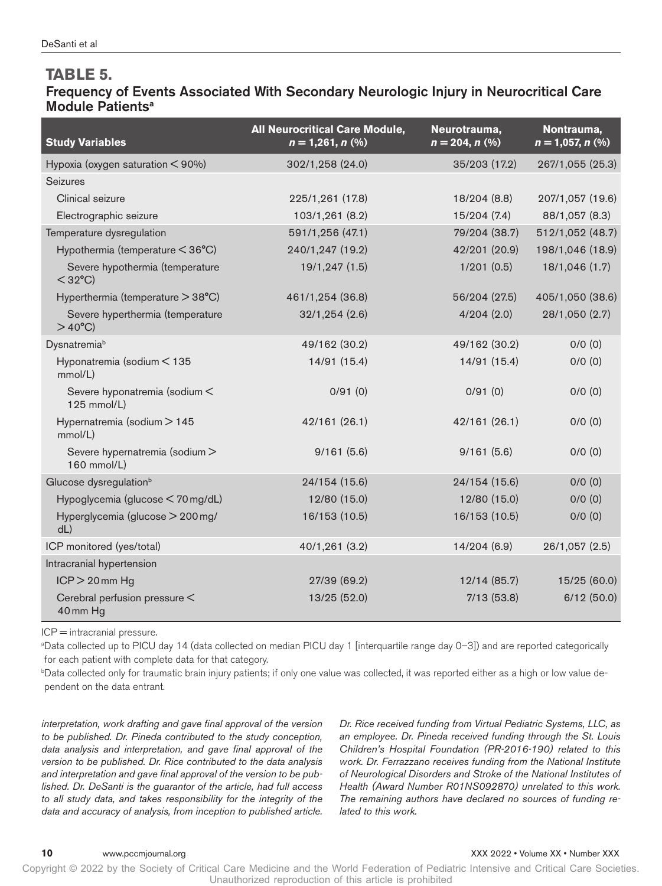#### **TABLE 5.**

#### Frequency of Events Associated With Secondary Neurologic Injury in Neurocritical Care Module Patients<sup>a</sup>

| <b>Study Variables</b>                               | <b>All Neurocritical Care Module,</b><br>$n = 1,261, n$ (%) | Neurotrauma,<br>$n = 204, n (%)$ | Nontrauma,<br>$n = 1,057, n$ (%) |
|------------------------------------------------------|-------------------------------------------------------------|----------------------------------|----------------------------------|
| Hypoxia (oxygen saturation < 90%)                    | 302/1,258 (24.0)                                            | 35/203 (17.2)                    | 267/1,055 (25.3)                 |
| Seizures                                             |                                                             |                                  |                                  |
| Clinical seizure                                     | 225/1,261 (17.8)                                            | 18/204 (8.8)                     | 207/1,057 (19.6)                 |
| Electrographic seizure                               | 103/1,261 (8.2)                                             | 15/204(7.4)                      | 88/1,057 (8.3)                   |
| Temperature dysregulation                            | 591/1,256 (47.1)                                            | 79/204 (38.7)                    | 512/1,052 (48.7)                 |
| Hypothermia (temperature < 36°C)                     | 240/1,247 (19.2)                                            | 42/201 (20.9)                    | 198/1,046 (18.9)                 |
| Severe hypothermia (temperature<br>$<$ 32°C)         | 19/1,247 (1.5)                                              | 1/201(0.5)                       | 18/1,046 (1.7)                   |
| Hyperthermia (temperature > 38°C)                    | 461/1,254 (36.8)                                            | 56/204 (27.5)                    | 405/1,050 (38.6)                 |
| Severe hyperthermia (temperature<br>$>40^{\circ}$ C) | 32/1,254(2.6)                                               | 4/204(2.0)                       | 28/1,050 (2.7)                   |
| Dysnatremiab                                         | 49/162 (30.2)                                               | 49/162 (30.2)                    | $0/0$ $(0)$                      |
| Hyponatremia (sodium < 135<br>mmol/L)                | 14/91 (15.4)                                                | 14/91 (15.4)                     | $0/0$ $(0)$                      |
| Severe hyponatremia (sodium <<br>125 mmol/L)         | 0/91(0)                                                     | 0/91(0)                          | $0/0$ $(0)$                      |
| Hypernatremia (sodium > 145<br>mmol/L)               | 42/161 (26.1)                                               | 42/161 (26.1)                    | $0/0$ $(0)$                      |
| Severe hypernatremia (sodium ><br>160 mmol/L)        | 9/161(5.6)                                                  | 9/161(5.6)                       | $0/0$ $(0)$                      |
| Glucose dysregulation <sup>b</sup>                   | 24/154 (15.6)                                               | 24/154 (15.6)                    | $0/0$ $(0)$                      |
| Hypoglycemia (glucose < 70 mg/dL)                    | 12/80 (15.0)                                                | 12/80 (15.0)                     | $0/0$ $(0)$                      |
| Hyperglycemia (glucose > 200 mg/<br>dL)              | 16/153 (10.5)                                               | 16/153 (10.5)                    | $0/0$ $(0)$                      |
| ICP monitored (yes/total)                            | 40/1,261 (3.2)                                              | 14/204 (6.9)                     | 26/1,057 (2.5)                   |
| Intracranial hypertension                            |                                                             |                                  |                                  |
| $ICP > 20$ mm Hg                                     | 27/39 (69.2)                                                | 12/14(85.7)                      | 15/25 (60.0)                     |
| Cerebral perfusion pressure <<br>40 <sub>mm</sub> Hg | 13/25 (52.0)                                                | 7/13(53.8)                       | 6/12(50.0)                       |

ICP = intracranial pressure.

a Data collected up to PICU day 14 (data collected on median PICU day 1 [interquartile range day 0–3]) and are reported categorically for each patient with complete data for that category.

b Data collected only for traumatic brain injury patients; if only one value was collected, it was reported either as a high or low value dependent on the data entrant.

*interpretation, work drafting and gave final approval of the version to be published. Dr. Pineda contributed to the study conception, data analysis and interpretation, and gave final approval of the version to be published. Dr. Rice contributed to the data analysis and interpretation and gave final approval of the version to be published. Dr. DeSanti is the guarantor of the article, had full access to all study data, and takes responsibility for the integrity of the data and accuracy of analysis, from inception to published article.*

*Dr. Rice received funding from Virtual Pediatric Systems, LLC, as an employee. Dr. Pineda received funding through the St. Louis Children's Hospital Foundation (PR-2016-190) related to this work. Dr. Ferrazzano receives funding from the National Institute of Neurological Disorders and Stroke of the National Institutes of Health (Award Number R01NS092870) unrelated to this work. The remaining authors have declared no sources of funding related to this work.*